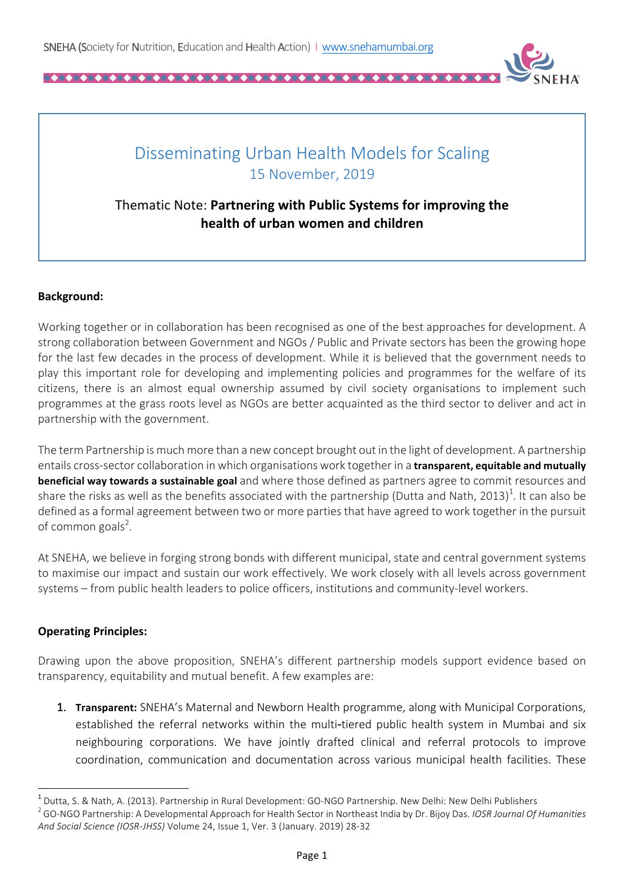

## Disseminating Urban Health Models for Scaling 15 November, 2019

## Thematic Note: Partnering with Public Systems for improving the **health of urban women and children**

## **Background:**

Working together or in collaboration has been recognised as one of the best approaches for development. A strong collaboration between Government and NGOs / Public and Private sectors has been the growing hope for the last few decades in the process of development. While it is believed that the government needs to play this important role for developing and implementing policies and programmes for the welfare of its citizens, there is an almost equal ownership assumed by civil society organisations to implement such programmes at the grass roots level as NGOs are better acquainted as the third sector to deliver and act in partnership with the government.

The term Partnership is much more than a new concept brought out in the light of development. A partnership entails cross-sector collaboration in which organisations work together in a **transparent, equitable and mutually beneficial way towards a sustainable goal** and where those defined as partners agree to commit resources and share the risks as well as the benefits associated with the partnership (Dutta and Nath, 2013)<sup>1</sup>. It can also be defined as a formal agreement between two or more parties that have agreed to work together in the pursuit of common goals<sup>2</sup>.

At SNEHA, we believe in forging strong bonds with different municipal, state and central government systems to maximise our impact and sustain our work effectively. We work closely with all levels across government systems – from public health leaders to police officers, institutions and community-level workers.

## **Operating Principles:**

<u> 1989 - Johann Barn, mars ann an t-Amhain an t-Amhain an t-Amhain an t-Amhain an t-Amhain an t-Amhain an t-Amh</u>

Drawing upon the above proposition, SNEHA's different partnership models support evidence based on transparency, equitability and mutual benefit. A few examples are:

1. **Transparent:** SNEHA's Maternal and Newborn Health programme, along with Municipal Corporations, established the referral networks within the multi-tiered public health system in Mumbai and six neighbouring corporations. We have jointly drafted clinical and referral protocols to improve coordination, communication and documentation across various municipal health facilities. These

<sup>&</sup>lt;sup>1</sup> Dutta, S. & Nath, A. (2013). Partnership in Rural Development: GO-NGO Partnership. New Delhi: New Delhi Publishers<br><sup>2</sup> GO-NGO Partnership: A Developmental Approach for Health Sector in Northeast India by Dr. Bijoy Das And Social Science (IOSR-JHSS) Volume 24, Issue 1, Ver. 3 (January. 2019) 28-32